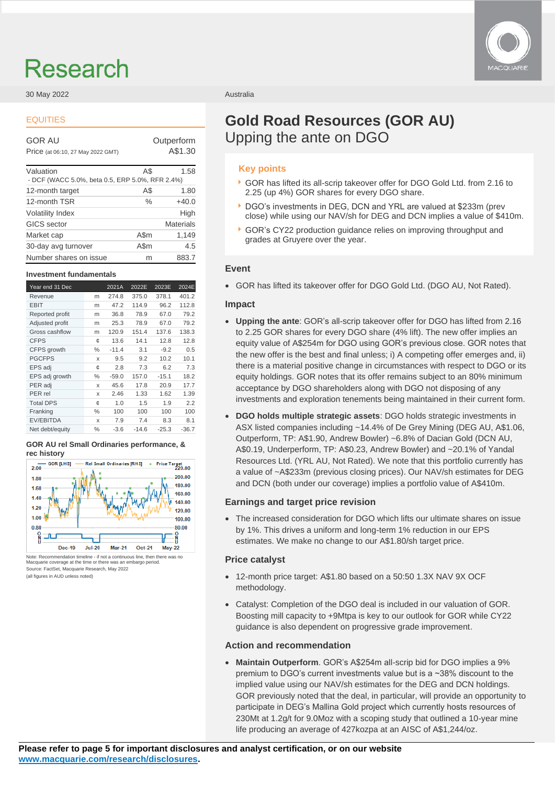# Research

## 30 May 2022 **Australia** 2008 **Australia** 2009

# EQUITIES

GOR AU **Outperform** 

Price (at 06:10, 27 May 2022 GMT) A\$1.30

| Valuation                                       | A\$  | 1.58             |
|-------------------------------------------------|------|------------------|
| - DCF (WACC 5.0%, beta 0.5, ERP 5.0%, RFR 2.4%) |      |                  |
| 12-month target                                 | A\$  | 1.80             |
| 12-month TSR                                    | $\%$ | $+40.0$          |
| <b>Volatility Index</b>                         |      | High             |
| <b>GICS</b> sector                              |      | <b>Materials</b> |
| Market cap                                      | A\$m | 1,149            |
| 30-day avg turnover                             | A\$m | 4.5              |
| Number shares on issue                          | m    | 883.7            |

### **Investment fundamentals**

| Year end 31 Dec  |      | 2021A   | 2022E   | 2023E   | 2024E   |
|------------------|------|---------|---------|---------|---------|
| Revenue          | m    | 274.8   | 375.0   | 378.1   | 401.2   |
| <b>EBIT</b>      | m    | 47.2    | 114.9   | 96.2    | 112.8   |
| Reported profit  | m    | 36.8    | 78.9    | 67.0    | 79.2    |
| Adjusted profit  | m    | 25.3    | 78.9    | 67.0    | 79.2    |
| Gross cashflow   | m    | 120.9   | 151.4   | 137.6   | 138.3   |
| <b>CFPS</b>      | ¢    | 13.6    | 14.1    | 12.8    | 12.8    |
| CFPS growth      | $\%$ | $-11.4$ | 3.1     | $-9.2$  | 0.5     |
| <b>PGCFPS</b>    | X    | 9.5     | 9.2     | 10.2    | 10.1    |
| EPS adj          | ¢    | 2.8     | 7.3     | 6.2     | 7.3     |
| EPS adj growth   | $\%$ | $-59.0$ | 157.0   | $-15.1$ | 18.2    |
| PER adj          | X    | 45.6    | 17.8    | 20.9    | 17.7    |
| PER rel          | X    | 2.46    | 1.33    | 1.62    | 1.39    |
| <b>Total DPS</b> | ¢    | 1.0     | 1.5     | 1.9     | 2.2     |
| Franking         | $\%$ | 100     | 100     | 100     | 100     |
| <b>EV/EBITDA</b> | X    | 7.9     | 7.4     | 8.3     | 8.1     |
| Net debt/equity  | ℅    | $-3.6$  | $-14.6$ | $-25.3$ | $-36.7$ |

### **GOR AU rel Small Ordinaries performance, & rec history**



Note: Recommendation timeline - if not a continuous line, then there was no Macquarie coverage at the time or there was an embargo period. Source: FactSet, Macquarie Research, May 2022 (all figures in AUD unless noted)



# **Gold Road Resources (GOR AU)** Upping the ante on DGO

# **Key points**

- GOR has lifted its all-scrip takeover offer for DGO Gold Ltd. from 2.16 to 2.25 (up 4%) GOR shares for every DGO share.
- DGO's investments in DEG, DCN and YRL are valued at \$233m (prev close) while using our NAV/sh for DEG and DCN implies a value of \$410m.
- GOR's CY22 production guidance relies on improving throughput and grades at Gruyere over the year.

# **Event**

• GOR has lifted its takeover offer for DGO Gold Ltd. (DGO AU, Not Rated).

# **Impact**

- **Upping the ante**: GOR's all-scrip takeover offer for DGO has lifted from 2.16 to 2.25 GOR shares for every DGO share (4% lift). The new offer implies an equity value of A\$254m for DGO using GOR's previous close. GOR notes that the new offer is the best and final unless; i) A competing offer emerges and, ii) there is a material positive change in circumstances with respect to DGO or its equity holdings. GOR notes that its offer remains subject to an 80% minimum acceptance by DGO shareholders along with DGO not disposing of any investments and exploration tenements being maintained in their current form.
- **DGO holds multiple strategic assets**: DGO holds strategic investments in ASX listed companies including ~14.4% of De Grey Mining (DEG AU, A\$1.06, Outperform, TP: A\$1.90, Andrew Bowler) ~6.8% of Dacian Gold (DCN AU, A\$0.19, Underperform, TP: A\$0.23, Andrew Bowler) and ~20.1% of Yandal Resources Ltd. (YRL AU, Not Rated). We note that this portfolio currently has a value of ~A\$233m (previous closing prices). Our NAV/sh estimates for DEG and DCN (both under our coverage) implies a portfolio value of A\$410m.

# **Earnings and target price revision**

• The increased consideration for DGO which lifts our ultimate shares on issue by 1%. This drives a uniform and long-term 1% reduction in our EPS estimates. We make no change to our A\$1.80/sh target price.

# **Price catalyst**

- 12-month price target: A\$1.80 based on a 50:50 1.3X NAV 9X OCF methodology.
- Catalyst: Completion of the DGO deal is included in our valuation of GOR. Boosting mill capacity to +9Mtpa is key to our outlook for GOR while CY22 guidance is also dependent on progressive grade improvement.

# **Action and recommendation**

• **Maintain Outperform**. GOR's A\$254m all-scrip bid for DGO implies a 9% premium to DGO's current investments value but is a ~38% discount to the implied value using our NAV/sh estimates for the DEG and DCN holdings. GOR previously noted that the deal, in particular, will provide an opportunity to participate in DEG's Mallina Gold project which currently hosts resources of 230Mt at 1.2g/t for 9.0Moz with a scoping study that outlined a 10-year mine life producing an average of 427kozpa at an AISC of A\$1,244/oz.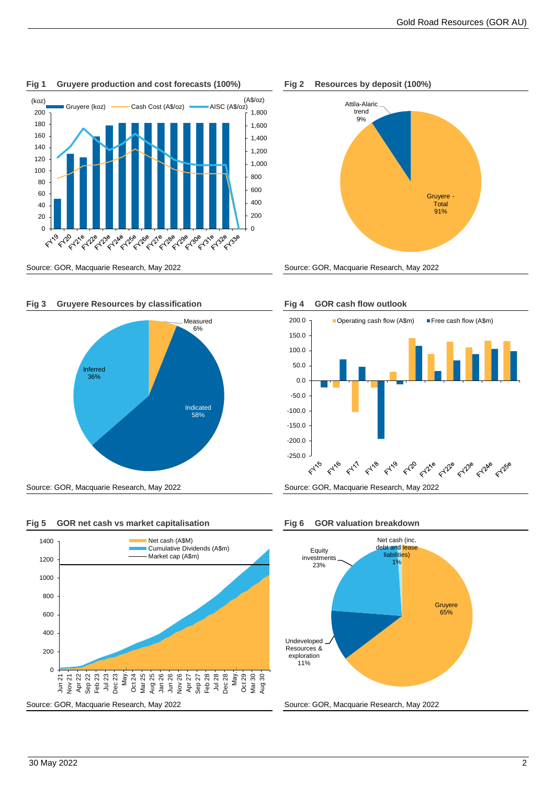

**Fig 1 Gruyere production and cost forecasts (100%) Fig 2 Resources by deposit (100%)**





**Fig 3 Gruyere Resources by classification Fig 4 GOR cash flow outlook**







Source: GOR, Macquarie Research, May 2022 Source: GOR, Macquarie Research, May 2022



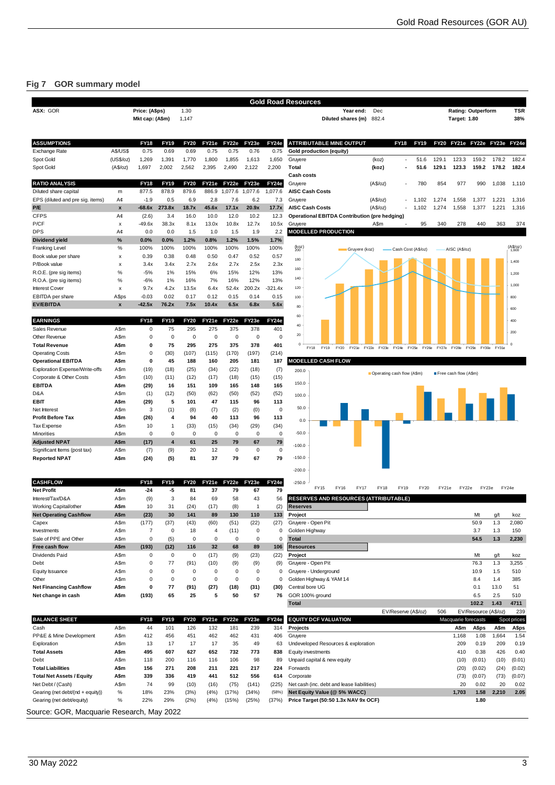# **Fig 7 GOR summary model**

| ASX: GOR                                                                                                                                                                                                                       |                    | Price: (A\$ps)                |                      | 1.30                 |                               |                  |                            |                  | <b>Gold Road Resources</b><br><b>TSR</b><br>Dec<br><b>Rating: Outperform</b><br>Year end:                                    |
|--------------------------------------------------------------------------------------------------------------------------------------------------------------------------------------------------------------------------------|--------------------|-------------------------------|----------------------|----------------------|-------------------------------|------------------|----------------------------|------------------|------------------------------------------------------------------------------------------------------------------------------|
|                                                                                                                                                                                                                                |                    | Mkt cap: (A\$m)               |                      | 1,147                |                               |                  |                            |                  | 882.4<br>38%<br>Diluted shares (m)<br><b>Target: 1.80</b>                                                                    |
| <b>ASSUMPTIONS</b>                                                                                                                                                                                                             |                    | <b>FY18</b>                   | <b>FY19</b>          | <b>FY20</b>          | FY21e                         | FY22e            | FY23e                      | FY24e            | <b>ATTRIBUTABLE MINE OUTPUT</b><br><b>FY18</b><br><b>FY19</b><br>FY20 FY21e FY22e FY23e FY24e                                |
| Exchange Rate                                                                                                                                                                                                                  | <b>A\$/US\$</b>    | 0.75                          | 0.69                 | 0.69                 | 0.75                          | 0.75             | 0.76                       | 0.75             | <b>Gold production (equity)</b>                                                                                              |
| Spot Gold                                                                                                                                                                                                                      | (US\$/oz)          | 1,269                         | 1,391                | 1,770                | 1,800                         | 1,855            | 1,613                      | 1,650            | Gruyere<br>51.6<br>129.1<br>123.3<br>159.2<br>178.2<br>182.4<br>(koz)<br>٠                                                   |
| Spot Gold                                                                                                                                                                                                                      | (A\$/oz)           | 1,697                         | 2,002                | 2,562                | 2,395                         | 2,490            | 2,122                      | 2,200            | <b>Total</b><br>159.2<br>178.2<br>182.4<br>(koz)<br>51.6<br>129.1<br>123.3                                                   |
|                                                                                                                                                                                                                                |                    |                               |                      |                      |                               |                  |                            |                  | <b>Cash costs</b>                                                                                                            |
| <b>RATIO ANALYSIS</b><br>Diluted share capital                                                                                                                                                                                 |                    | <b>FY18</b><br>877.5          | <b>FY19</b><br>878.9 | <b>FY20</b><br>879.6 | FY21e<br>886.9                | FY22e<br>1,077.6 | FY23e<br>1,077.6           | FY24e<br>1,077.6 | 780<br>854<br>977<br>990<br>Gruyere<br>(A\$/oz)<br>1,038<br>1,110<br>ä,<br><b>AISC Cash Costs</b>                            |
| EPS (diluted and pre sig. items)                                                                                                                                                                                               | m<br>A¢            | $-1.9$                        | 0.5                  | 6.9                  | 2.8                           | 7.6              | 6.2                        | 7.3              | (A\$/oz)<br>1,558<br>Gruyere<br>1,102<br>1,274<br>1,377<br>1,221<br>1,316<br>٠                                               |
| P/E                                                                                                                                                                                                                            | $\pmb{\mathsf{x}}$ | -68.6x                        | 273.8x               | 18.7x                | 45.6x                         | 17.1x            | 20.9x                      | 17.7x            | <b>AISC Cash Costs</b><br>(A\$/oz)<br>1,102<br>1,274<br>1,558<br>1,377<br>1,221<br>1,316                                     |
| <b>CFPS</b>                                                                                                                                                                                                                    | A¢                 | (2.6)                         | 3.4                  | 16.0                 | 10.0                          | 12.0             | 10.2                       | 12.3             | <b>Operational EBITDA Contribution (pre hedging)</b>                                                                         |
| P/CF                                                                                                                                                                                                                           | х                  | $-49.6x$                      | 38.3x                | 8.1x                 | 13.0x                         | 10.8x            | 12.7x                      | 10.5x            | A\$m<br>340<br>278<br>440<br>363<br>374<br>Gruyere<br>95                                                                     |
| <b>DPS</b>                                                                                                                                                                                                                     | A¢                 | 0.0                           | 0.0                  | 1.5                  | 1.0                           | 1.5              | 1.9                        | 2.2              | <b>MODELLED PRODUCTION</b>                                                                                                   |
| <b>Dividend yield</b>                                                                                                                                                                                                          | %<br>%             | 0.0%                          | 0.0%                 | 1.2%                 | 0.8%<br>100%                  | 1.2%<br>100%     | 1.5%                       | 1.7%             | $(A_{1,600}^{(A5)}/a)$                                                                                                       |
| <b>Franking Level</b><br>Book value per share                                                                                                                                                                                  | X                  | 100%<br>0.39                  | 100%<br>0.38         | 100%<br>0.48         | 0.50                          | 0.47             | 100%<br>0.52               | 100%<br>0.57     | $^{(k0z)}_{200}$<br>AISC (A\$/oz)<br>Gruyere (koz)<br>Cash Cost (A\$/oz)                                                     |
| P/Book value                                                                                                                                                                                                                   | X                  | 3.4x                          | 3.4x                 | 2.7x                 | 2.6x                          | 2.7x             | 2.5x                       | 2.3x             | 180<br>1,400                                                                                                                 |
| R.O.E. (pre sig items)                                                                                                                                                                                                         | $\%$               | $-5%$                         | 1%                   | 15%                  | 6%                            | 15%              | 12%                        | 13%              | 160<br>1,200                                                                                                                 |
| R.O.A. (pre sig items)                                                                                                                                                                                                         | $\%$               | $-6%$                         | 1%                   | 16%                  | 7%                            | 16%              | 12%                        | 13%              | 140                                                                                                                          |
| <b>Interest Cover</b>                                                                                                                                                                                                          | x                  | 9.7x                          | 4.2x                 | 13.5x                | 6.4x                          | 52.4x            | 200.2x                     | $-321.4x$        | 1,000<br>120                                                                                                                 |
| <b>EBITDA</b> per share                                                                                                                                                                                                        | A\$ps              | $-0.03$                       | 0.02                 | 0.17                 | 0.12                          | 0.15             | 0.14                       | 0.15             | 100<br>800                                                                                                                   |
| <b>EV/EBITDA</b>                                                                                                                                                                                                               | $\mathbf{x}$       | $-42.5x$                      | 76.2x                | 7.5x                 | 10.4x                         | 6.5x             | 6.8x                       | 5.6x             | 80<br>600                                                                                                                    |
| <b>EARNINGS</b>                                                                                                                                                                                                                |                    | <b>FY18</b>                   | <b>FY19</b>          | <b>FY20</b>          | FY21e                         | FY22e            | FY23e                      | FY24e            | 60<br>400                                                                                                                    |
| Sales Revenue                                                                                                                                                                                                                  | A\$m               | $\mathbf 0$                   | 75                   | 295                  | 275                           | 375              | 378                        | 401              | 40                                                                                                                           |
| Other Revenue                                                                                                                                                                                                                  | A\$m               | $\mathsf 0$                   | $\mathbf 0$          | $\mathbf 0$          | $\pmb{0}$                     | $\mathbf 0$      | $\mathbf 0$                | $\mathbf 0$      | 200<br>20                                                                                                                    |
| <b>Total Revenue</b>                                                                                                                                                                                                           | A\$m               | 0                             | 75                   | 295                  | 275                           | 375              | 378                        | 401              | $\circ$<br>FY19<br>FY20<br>FY21e<br>FY22e<br>FY24e<br>FY25e<br>FY27e FY28e<br>FY18<br>FY23e<br>FY26e<br>FY29e<br>FY30e FY31e |
| <b>Operating Costs</b>                                                                                                                                                                                                         | A\$m               | $\mathsf 0$                   | (30)                 | (107)                | (115)                         | (170)            | (197)                      | (214)            |                                                                                                                              |
| <b>Operational EBITDA</b>                                                                                                                                                                                                      | A\$m               | 0                             | 45                   | 188                  | 160                           | 205              | 181                        | 187              | <b>MODELLED CASH FLOW</b>                                                                                                    |
| Exploration Expense/Write-offs                                                                                                                                                                                                 | A\$m               | (19)                          | (18)                 | (25)                 | (34)                          | (22)             | (18)                       | (7)              | 200.0<br>Derating cash flow (A\$m)<br>Free cash flow (A\$m)                                                                  |
| Corporate & Other Costs                                                                                                                                                                                                        | A\$m               | (10)                          | (11)                 | (12)                 | (17)                          | (18)             | (15)                       | (15)             | 150.0                                                                                                                        |
| <b>EBITDA</b>                                                                                                                                                                                                                  | A\$m               | (29)                          | 16                   | 151                  | 109                           | 165              | 148                        | 165              |                                                                                                                              |
| D&A<br>EBIT                                                                                                                                                                                                                    | A\$m<br>A\$m       | (1)<br>(29)                   | (12)<br>5            | (50)<br>101          | (62)<br>47                    | (50)<br>115      | (52)<br>96                 | (52)<br>113      | 100.0                                                                                                                        |
| Net Interest                                                                                                                                                                                                                   | A\$m               | 3                             | (1)                  | (8)                  | (7)                           | (2)              | (0)                        | $\mathbf 0$      | 50.0                                                                                                                         |
| <b>Profit Before Tax</b>                                                                                                                                                                                                       | A\$m               | (26)                          | $\overline{\bf 4}$   | 94                   | 40                            | 113              | 96                         | 113              |                                                                                                                              |
| <b>Tax Expense</b>                                                                                                                                                                                                             | A\$m               | 10                            | $\overline{1}$       | (33)                 | (15)                          | (34)             | (29)                       | (34)             | 0.0                                                                                                                          |
| Minorities                                                                                                                                                                                                                     | A\$m               | $\mathbf 0$                   | $\mathbf 0$          | $\mathbf 0$          | $\mathbf 0$                   | $\mathbf 0$      | $\mathbf 0$                | $\mathbf 0$      | $-50.0$                                                                                                                      |
| <b>Adjusted NPAT</b>                                                                                                                                                                                                           | A\$m               | (17)                          | $\overline{4}$       | 61                   | 25                            | 79               | 67                         | 79               | $-100.0$                                                                                                                     |
| Significant Items (post tax)                                                                                                                                                                                                   | A\$m               | (7)                           | (9)                  | 20                   | 12                            | 0                | 0                          | 0                |                                                                                                                              |
| <b>Reported NPAT</b>                                                                                                                                                                                                           | A\$m               | (24)                          | (5)                  | 81                   | 37                            | 79               | 67                         | 79               | $-150.0$                                                                                                                     |
|                                                                                                                                                                                                                                |                    |                               |                      |                      |                               |                  |                            |                  | $-200.0$                                                                                                                     |
| <b>CASHFLOW</b>                                                                                                                                                                                                                |                    | <b>FY18</b>                   | <b>FY19</b>          | <b>FY20</b>          | FY21e                         | FY22e            | FY23e                      | FY24e            | $-250.0$                                                                                                                     |
| <b>Net Profit</b>                                                                                                                                                                                                              | A\$m               | $-24$                         | -5                   | 81                   | 37                            | 79               | 67                         | 79               | <b>FY15</b><br><b>FY16</b><br>FY19<br><b>FY17</b><br><b>FY18</b><br><b>FY20</b><br>FY21e<br>FY22e<br>FY23e<br>FY24e          |
| Interest/Tax/D&A                                                                                                                                                                                                               | A\$m               | (9)                           | 3                    | 84                   | 69                            | 58               | 43                         | 56               | <b>RESERVES AND RESOURCES (ATTRIBUTABLE)</b>                                                                                 |
| Working Capital/other                                                                                                                                                                                                          | A\$m               | 10                            | 31                   | (24)                 | (17)                          | (8)              | $\overline{1}$             | (2)              | <b>Reserves</b>                                                                                                              |
| <b>Net Operating Cashflow</b>                                                                                                                                                                                                  | A\$m               | (23)                          | 30                   | 141                  | 89                            | 130              | 110                        | 133              | Project<br>Mt<br>g/t<br>koz                                                                                                  |
| Capex                                                                                                                                                                                                                          | A\$m               | (177)                         | (37)                 | (43)                 | (60)                          | (51)             | (22)                       | (27)             | Gruyere - Open Pit<br>50.9<br>1.3<br>2,080                                                                                   |
| Investments<br>Sale of PPE and Other                                                                                                                                                                                           | A\$m               | $\overline{7}$<br>$\mathbf 0$ | $\pmb{0}$            | 18<br>$\mathbf 0$    | $\overline{4}$<br>$\mathbf 0$ | (11)<br>0        | $\mathbf 0$<br>$\mathbf 0$ | $\mathbf 0$<br>0 | Golden Highway<br>1.3<br>3.7<br>150<br>$1.3$<br>54.5<br>2,230                                                                |
| Free cash flow                                                                                                                                                                                                                 | A\$m<br>A\$m       | (193)                         | (5)<br>(12)          | 116                  | 32                            | 68               | 89                         | 106              | <b>Total</b><br><b>Resources</b>                                                                                             |
| Dividends Paid                                                                                                                                                                                                                 | A\$m               | 0                             | 0                    | 0                    | (17)                          | (9)              | (23)                       | (22)             | Project<br>Mt<br>g/t<br>koz                                                                                                  |
| Debt                                                                                                                                                                                                                           | A\$m               | $\pmb{0}$                     | 77                   | (91)                 | (10)                          | (9)              | (9)                        | (9)              | Gruyere - Open Pit<br>76.3<br>1.3<br>3,255                                                                                   |
| Equity Issuance                                                                                                                                                                                                                | A\$m               | 0                             | $\mathbf 0$          | $\mathbf 0$          | $\mathbf 0$                   | 0                | 0                          | 0                | Gruyere - Underground<br>10.9<br>1.5<br>510                                                                                  |
| Other                                                                                                                                                                                                                          | A\$m               | 0                             | $\pmb{0}$            | $\mathbf 0$          | $\pmb{0}$                     | 0                | $\mathbf 0$                | 0                | Golden Highway & YAM 14<br>8.4<br>1.4<br>385                                                                                 |
| <b>Net Financing Cashflow</b>                                                                                                                                                                                                  | A\$m               | 0                             | 77                   | (91)                 | (27)                          | (18)             | (31)                       | (30)             | Central bore UG<br>13.0<br>0.1<br>51                                                                                         |
| Net change in cash                                                                                                                                                                                                             | A\$m               | (193)                         | 65                   | 25                   | 5                             | 50               | 57                         | 76               | GOR 100% ground<br>2.5<br>6.5<br>510                                                                                         |
|                                                                                                                                                                                                                                |                    |                               |                      |                      |                               |                  |                            |                  | <b>Total</b><br>102.2<br>1.43<br>4711                                                                                        |
|                                                                                                                                                                                                                                |                    |                               |                      |                      |                               |                  |                            |                  | EV/Reserve (A\$/oz)<br>506<br>EV/Resource (A\$/oz)<br>239                                                                    |
|                                                                                                                                                                                                                                |                    | <b>FY18</b>                   | <b>FY19</b>          | <b>FY20</b>          | FY21e                         | FY22e            | FY23e                      | FY24e            | <b>EQUITY DCF VALUATION</b><br>Macquarie forecasts<br>Spot prices                                                            |
|                                                                                                                                                                                                                                |                    | 44                            | 101<br>456           | 126<br>451           | 132<br>462                    | 181<br>462       | 239<br>431                 | 314<br>406       | Projects<br>A\$m<br>A\$ps<br>A\$m<br>A\$ps<br>Gruyere<br>1,168<br>1.08<br>1,664<br>1.54                                      |
|                                                                                                                                                                                                                                | A\$m               |                               |                      |                      | 17                            | 35               | 49                         | 63               | Undeveloped Resources & exploration<br>209<br>0.19<br>209<br>0.19                                                            |
|                                                                                                                                                                                                                                | A\$m               | 412                           |                      |                      |                               |                  | 773                        | 838              | 0.38<br>426<br>0.40<br>Equity investments<br>410                                                                             |
|                                                                                                                                                                                                                                | A\$m               | 13                            | 17                   | 17                   |                               |                  |                            |                  |                                                                                                                              |
|                                                                                                                                                                                                                                | A\$m<br>A\$m       | 495<br>118                    | 607<br>200           | 627<br>116           | 652<br>116                    | 732<br>106       | 98                         | 89               | Unpaid capital & new equity<br>(0.01)<br>(10)<br>(10)                                                                        |
|                                                                                                                                                                                                                                | A\$m               | 156                           | 271                  | 208                  | 211                           | 221              | 217                        | 224              | Forwards<br>(0.02)<br>(20)<br>(24)                                                                                           |
|                                                                                                                                                                                                                                | A\$m               | 339                           | 336                  | 419                  | 441                           | 512              | 556                        | 614              | (73)<br>Corporate<br>(73)<br>(0.07)                                                                                          |
|                                                                                                                                                                                                                                | A\$m               | 74                            | 99                   | (10)                 | (16)                          | (75)             | (141)                      | (225)            | 20<br>0.02<br>20<br>Net cash (inc. debt and lease liabilities)                                                               |
| <b>BALANCE SHEET</b><br>Cash<br>PP&E & Mine Development<br>Exploration<br><b>Total Assets</b><br>Debt<br><b>Total Liabilities</b><br><b>Total Net Assets / Equity</b><br>Net Debt / (Cash)<br>Gearing (net debt/(nd + equity)) | $\%$               | 18%                           | 23%                  | (3%)                 | (4%)                          | (17%)            | (34%)                      | (58%)            | (0.01)<br>(0.02)<br>(0.07)<br>0.02<br>Net Equity Value (@ 5% WACC)<br>1,703<br>1.58<br>2,210<br>2.05                         |
| Gearing (net debt/equity)                                                                                                                                                                                                      | %                  | 22%                           | 29%                  | (2%)                 | (4%)                          | (15%)            | (25%)                      | (37%)            | Price Target (50:50 1.3x NAV 9x OCF)<br>1.80                                                                                 |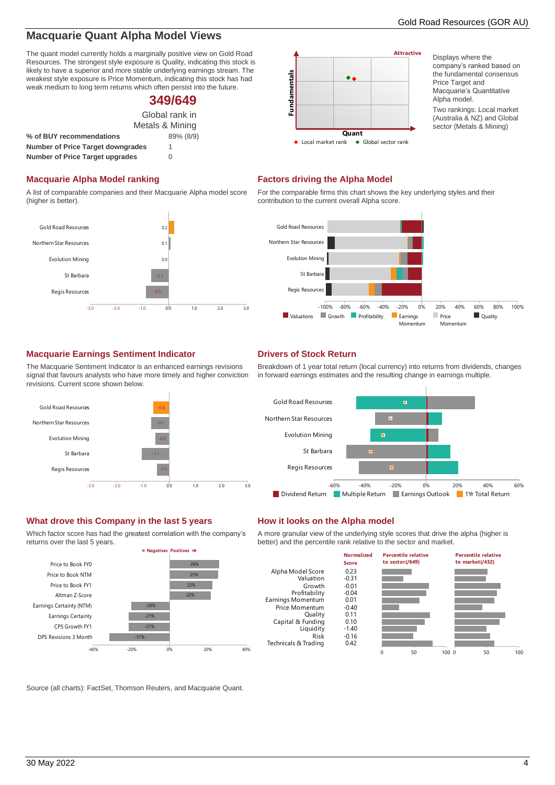# **Macquarie Quant Alpha Model Views**

The quant model currently holds a marginally positive view on Gold Road Resources. The strongest style exposure is Quality, indicating this stock is likely to have a superior and more stable underlying earnings stream. The weakest style exposure is Price Momentum, indicating this stock has had weak medium to long term returns which often persist into the future.

# **349/649**

Global rank in Metals & Mining

| % of BUY recommendations                 | 89% (8/9) |
|------------------------------------------|-----------|
| <b>Number of Price Target downgrades</b> |           |
| <b>Number of Price Target upgrades</b>   | 0         |

# **Macquarie Alpha Model ranking Factors driving the Alpha Model**

A list of comparable companies and their Macquarie Alpha model score (higher is better).



# **Attractive** Fundamentals **Fundamentals**  $\ddot{\bullet}$ **Quant**<br>• Local market rank  $\triangleleft$  Global sector rank

Displays where the company's ranked based on the fundamental consensus Price Target and Macquarie's Quantitative Alpha model. Two rankings: Local market (Australia & NZ) and Global sector (Metals & Mining)

For the comparable firms this chart shows the key underlying styles and their contribution to the current overall Alpha score.



# **Macquarie Earnings Sentiment Indicator Drivers of Stock Return**

The Macquarie Sentiment Indicator is an enhanced earnings revisions signal that favours analysts who have more timely and higher conviction revisions. Current score shown below.



# **What drove this Company in the last 5 years How it looks on the Alpha model**

Which factor score has had the greatest correlation with the company's returns over the last 5 years.



Breakdown of 1 year total return (local currency) into returns from dividends, changes in forward earnings estimates and the resulting change in earnings multiple.



A more granular view of the underlying style scores that drive the alpha (higher is better) and the percentile rank relative to the sector and market.



Source (all charts): FactSet, Thomson Reuters, and Macquarie Quant.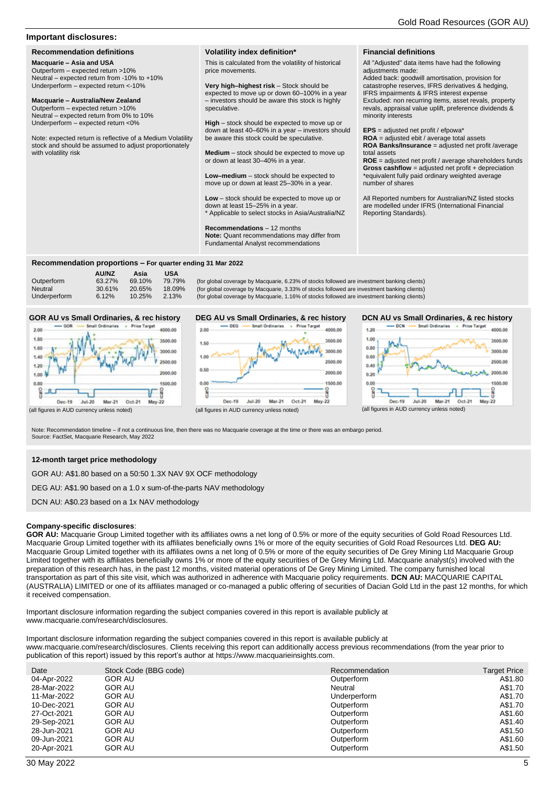# **Important disclosures:**

<span id="page-4-0"></span>**Recommendation definitions**

**Macquarie – Asia and USA** Outperform – expected return >10% Neutral – expected return from -10% to +10% Underperform – expected return <-10%

## **Macquarie – Australia/New Zealand**

Outperform – expected return >10% Neutral – expected return from 0% to 10% Underperform – expected return <0%

Note: expected return is reflective of a Medium Volatility stock and should be assumed to adjust proportionately with volatility risk

### **Volatility index definition\***

This is calculated from the volatility of historical price movements.

**Very high–highest risk** – Stock should be expected to move up or down 60–100% in a year – investors should be aware this stock is highly speculative.

**High** – stock should be expected to move up or down at least 40–60% in a year – investors should be aware this stock could be speculative.

**Medium** – stock should be expected to move up or down at least 30–40% in a year.

**Low–medium** – stock should be expected to move up or down at least 25–30% in a year.

**Low** – stock should be expected to move up or down at least 15–25% in a year. Applicable to select stocks in Asia/Australia/NZ

**Recommendations** – 12 months

**Note:** Quant recommendations may differ from Fundamental Analyst recommendations

### **Financial definitions**

All "Adjusted" data items have had the following adjustments made:

Added back: goodwill amortisation, provision for catastrophe reserves, IFRS derivatives & hedging, IFRS impairments & IFRS interest expense Excluded: non recurring items, asset revals, property revals, appraisal value uplift, preference dividends & minority interests

**EPS** = adjusted net profit / efpowa\*

**ROA** = adjusted ebit / average total assets **ROA Banks/Insurance** = adjusted net profit /average total assets

**ROE** = adjusted net profit / average shareholders funds **Gross cashflow** = adjusted net profit + depreciation \*equivalent fully paid ordinary weighted average number of shares

All Reported numbers for Australian/NZ listed stocks are modelled under IFRS (International Financial Reporting Standards).

# **Recommendation proportions – For quarter ending 31 Mar 2022**

**AU/NZ Asia USA**<br>63.27% 69.10% 79.79%

# Outperform 63.27% 69.10% 79.79% (for global coverage by Macquarie, 6.23% of stocks followed are investment banking clients)<br>Neutral 30.61% 20.65% 18.09% (for global coverage by Macquarie, 3.33% of stocks followed are inves

# **GOR AU vs Small Ordinaries, & rec history**



Neutral 30.61% 20.65% 18.09% (for global coverage by Macquarie, 3.33% of stocks followed are investment banking clients)<br>Underperform 6.12% 10.25% 2.13% (for global coverage by Macquarie, 1.16% of stocks followed are inves (for global coverage by Macquarie, 1.16% of stocks followed are investment banking clients)



# **DCN AU vs Small Ordinaries, & rec history**



(all figures in AUD currency unless noted)

Note: Recommendation timeline – if not a continuous line, then there was no Macquarie coverage at the time or there was an embargo period. Source: FactSet, Macquarie Research, May 2022

# **12-month target price methodology**

GOR AU: A\$1.80 based on a 50:50 1.3X NAV 9X OCF methodology

DEG AU: A\$1.90 based on a 1.0 x sum-of-the-parts NAV methodology

DCN AU: A\$0.23 based on a 1x NAV methodology

# **Company-specific disclosures**:

**GOR AU:** Macquarie Group Limited together with its affiliates owns a net long of 0.5% or more of the equity securities of Gold Road Resources Ltd. Macquarie Group Limited together with its affiliates beneficially owns 1% or more of the equity securities of Gold Road Resources Ltd. **DEG AU:**  Macquarie Group Limited together with its affiliates owns a net long of 0.5% or more of the equity securities of De Grey Mining Ltd Macquarie Group Limited together with its affiliates beneficially owns 1% or more of the equity securities of De Grey Mining Ltd. Macquarie analyst(s) involved with the preparation of this research has, in the past 12 months, visited material operations of De Grey Mining Limited. The company furnished local transportation as part of this site visit, which was authorized in adherence with Macquarie policy requirements. **DCN AU:** MACQUARIE CAPITAL (AUSTRALIA) LIMITED or one of its affiliates managed or co-managed a public offering of securities of Dacian Gold Ltd in the past 12 months, for which it received compensation.

Important disclosure information regarding the subject companies covered in this report is available publicly at www.macquarie.com/research/disclosures.

Important disclosure information regarding the subject companies covered in this report is available publicly at www.macquarie.com/research/disclosures. Clients receiving this report can additionally access previous recommendations (from the year prior to publication of this report) issued by this report's author at https://www.macquarieinsights.com.

| Date        | Stock Code (BBG code) | Recommendation | <b>Target Price</b> |
|-------------|-----------------------|----------------|---------------------|
| 04-Apr-2022 | <b>GOR AU</b>         | Outperform     | A\$1.80             |
| 28-Mar-2022 | <b>GOR AU</b>         | Neutral        | A\$1.70             |
| 11-Mar-2022 | <b>GOR AU</b>         | Underperform   | A\$1.70             |
| 10-Dec-2021 | <b>GOR AU</b>         | Outperform     | A\$1.70             |
| 27-Oct-2021 | <b>GOR AU</b>         | Outperform     | A\$1.60             |
| 29-Sep-2021 | <b>GOR AU</b>         | Outperform     | A\$1.40             |
| 28-Jun-2021 | GOR AU                | Outperform     | A\$1.50             |
| 09-Jun-2021 | <b>GOR AU</b>         | Outperform     | A\$1.60             |
| 20-Apr-2021 | <b>GOR AU</b>         | Outperform     | A\$1.50             |
|             |                       |                |                     |